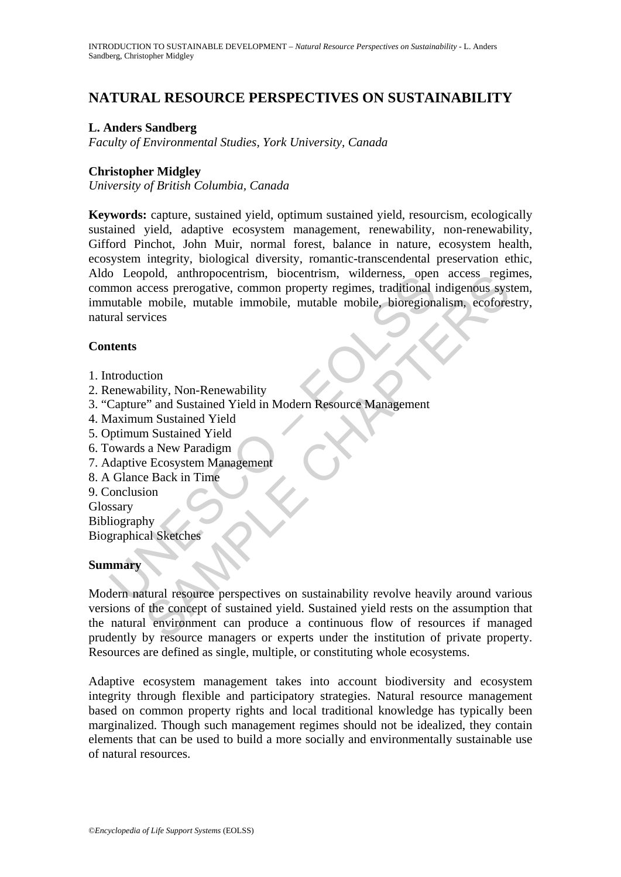# **NATURAL RESOURCE PERSPECTIVES ON SUSTAINABILITY**

#### **L. Anders Sandberg**

*Faculty of Environmental Studies, York University, Canada* 

#### **Christopher Midgley**

*University of British Columbia, Canada* 

The method method is a material to the method in the method in the method modes preparent mutable mobile, mutable mobile, hioregion:<br>nutable mobile, mutable immobile, mutable mobile, bioregion:<br>nutable mobile, mutable immo **Keywords:** capture, sustained yield, optimum sustained yield, resourcism, ecologically sustained yield, adaptive ecosystem management, renewability, non-renewability, Gifford Pinchot, John Muir, normal forest, balance in nature, ecosystem health, ecosystem integrity, biological diversity, romantic-transcendental preservation ethic, Aldo Leopold, anthropocentrism, biocentrism, wilderness, open access regimes, common access prerogative, common property regimes, traditional indigenous system, immutable mobile, mutable immobile, mutable mobile, bioregionalism, ecoforestry, natural services

#### **Contents**

- 1. Introduction
- 2. Renewability, Non-Renewability
- 3. "Capture" and Sustained Yield in Modern Resource Management
- 4. Maximum Sustained Yield
- 5. Optimum Sustained Yield
- 6. Towards a New Paradigm
- 7. Adaptive Ecosystem Management
- 8. A Glance Back in Time
- 9. Conclusion

Glossary

Bibliography Biographical Sketches

#### **Summary**

pola, antropocentrism, biocentrism, wilderstakes operates regulations, and access regulations, and access proparities, manualle inmobile, mutable mobile, bioregionalism, ecofore income mobile, mutable inmobile, mutable mob Modern natural resource perspectives on sustainability revolve heavily around various versions of the concept of sustained yield. Sustained yield rests on the assumption that the natural environment can produce a continuous flow of resources if managed prudently by resource managers or experts under the institution of private property. Resources are defined as single, multiple, or constituting whole ecosystems.

Adaptive ecosystem management takes into account biodiversity and ecosystem integrity through flexible and participatory strategies. Natural resource management based on common property rights and local traditional knowledge has typically been marginalized. Though such management regimes should not be idealized, they contain elements that can be used to build a more socially and environmentally sustainable use of natural resources.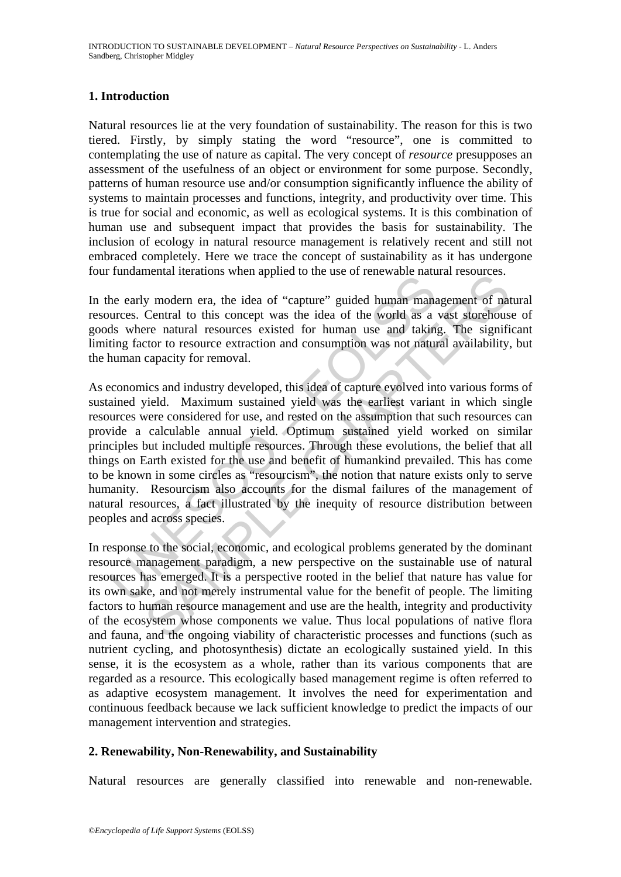## **1. Introduction**

Natural resources lie at the very foundation of sustainability. The reason for this is two tiered. Firstly, by simply stating the word "resource", one is committed to contemplating the use of nature as capital. The very concept of *resource* presupposes an assessment of the usefulness of an object or environment for some purpose. Secondly, patterns of human resource use and/or consumption significantly influence the ability of systems to maintain processes and functions, integrity, and productivity over time. This is true for social and economic, as well as ecological systems. It is this combination of human use and subsequent impact that provides the basis for sustainability. The inclusion of ecology in natural resource management is relatively recent and still not embraced completely. Here we trace the concept of sustainability as it has undergone four fundamental iterations when applied to the use of renewable natural resources.

In the early modern era, the idea of "capture" guided human management of natural resources. Central to this concept was the idea of the world as a vast storehouse of goods where natural resources existed for human use and taking. The significant limiting factor to resource extraction and consumption was not natural availability, but the human capacity for removal.

randamental recruited when applied to the dise of FineMace nata<br>urces. Central to this concept was the idea of the world as a<br>ds where natural resources existed for human use and takin<br>ting factor to resource extraction an inchara includions when applied to the use of tenewable hadiara resolates.<br>
y modern era, the idea of "capture" guided human management of nat<br>
Central to this concept was the idea of the world as a vast storehous<br>
ere nat As economics and industry developed, this idea of capture evolved into various forms of sustained yield. Maximum sustained yield was the earliest variant in which single resources were considered for use, and rested on the assumption that such resources can provide a calculable annual yield. Optimum sustained yield worked on similar principles but included multiple resources. Through these evolutions, the belief that all things on Earth existed for the use and benefit of humankind prevailed. This has come to be known in some circles as "resourcism", the notion that nature exists only to serve humanity. Resourcism also accounts for the dismal failures of the management of natural resources, a fact illustrated by the inequity of resource distribution between peoples and across species.

In response to the social, economic, and ecological problems generated by the dominant resource management paradigm, a new perspective on the sustainable use of natural resources has emerged. It is a perspective rooted in the belief that nature has value for its own sake, and not merely instrumental value for the benefit of people. The limiting factors to human resource management and use are the health, integrity and productivity of the ecosystem whose components we value. Thus local populations of native flora and fauna, and the ongoing viability of characteristic processes and functions (such as nutrient cycling, and photosynthesis) dictate an ecologically sustained yield. In this sense, it is the ecosystem as a whole, rather than its various components that are regarded as a resource. This ecologically based management regime is often referred to as adaptive ecosystem management. It involves the need for experimentation and continuous feedback because we lack sufficient knowledge to predict the impacts of our management intervention and strategies.

## **2. Renewability, Non-Renewability, and Sustainability**

Natural resources are generally classified into renewable and non-renewable.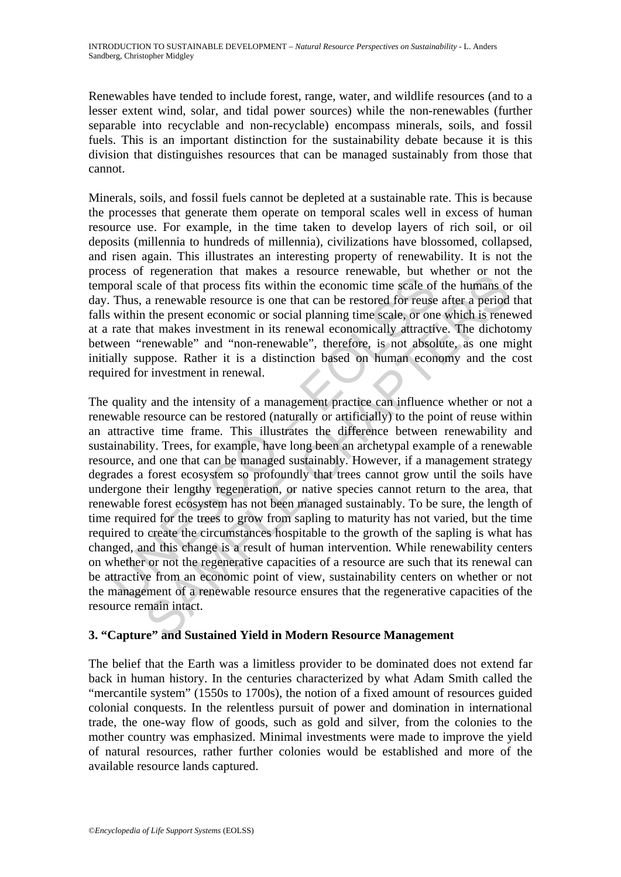Renewables have tended to include forest, range, water, and wildlife resources (and to a lesser extent wind, solar, and tidal power sources) while the non-renewables (further separable into recyclable and non-recyclable) encompass minerals, soils, and fossil fuels. This is an important distinction for the sustainability debate because it is this division that distinguishes resources that can be managed sustainably from those that cannot.

Minerals, soils, and fossil fuels cannot be depleted at a sustainable rate. This is because the processes that generate them operate on temporal scales well in excess of human resource use. For example, in the time taken to develop layers of rich soil, or oil deposits (millennia to hundreds of millennia), civilizations have blossomed, collapsed, and risen again. This illustrates an interesting property of renewability. It is not the process of regeneration that makes a resource renewable, but whether or not the temporal scale of that process fits within the economic time scale of the humans of the day. Thus, a renewable resource is one that can be restored for reuse after a period that falls within the present economic or social planning time scale, or one which is renewed at a rate that makes investment in its renewal economically attractive. The dichotomy between "renewable" and "non-renewable", therefore, is not absolute, as one might initially suppose. Rather it is a distinction based on human economy and the cost required for investment in renewal.

Experiention inter lines. The meant of the means of respective, but we consider of that process fits within the economic time scale of Thus, a renewable resource is one that can be restored for reuses within the present ec <sup>1</sup> exponention that makes a resolute clue whole. Our whether or not<br>cale of that process fits within the economic time scale of the humans of<br>a renewable resource is one that can be restored for reuse after a period<br>a ren The quality and the intensity of a management practice can influence whether or not a renewable resource can be restored (naturally or artificially) to the point of reuse within an attractive time frame. This illustrates the difference between renewability and sustainability. Trees, for example, have long been an archetypal example of a renewable resource, and one that can be managed sustainably. However, if a management strategy degrades a forest ecosystem so profoundly that trees cannot grow until the soils have undergone their lengthy regeneration, or native species cannot return to the area, that renewable forest ecosystem has not been managed sustainably. To be sure, the length of time required for the trees to grow from sapling to maturity has not varied, but the time required to create the circumstances hospitable to the growth of the sapling is what has changed, and this change is a result of human intervention. While renewability centers on whether or not the regenerative capacities of a resource are such that its renewal can be attractive from an economic point of view, sustainability centers on whether or not the management of a renewable resource ensures that the regenerative capacities of the resource remain intact.

## **3. "Capture" and Sustained Yield in Modern Resource Management**

The belief that the Earth was a limitless provider to be dominated does not extend far back in human history. In the centuries characterized by what Adam Smith called the "mercantile system" (1550s to 1700s), the notion of a fixed amount of resources guided colonial conquests. In the relentless pursuit of power and domination in international trade, the one-way flow of goods, such as gold and silver, from the colonies to the mother country was emphasized. Minimal investments were made to improve the yield of natural resources, rather further colonies would be established and more of the available resource lands captured.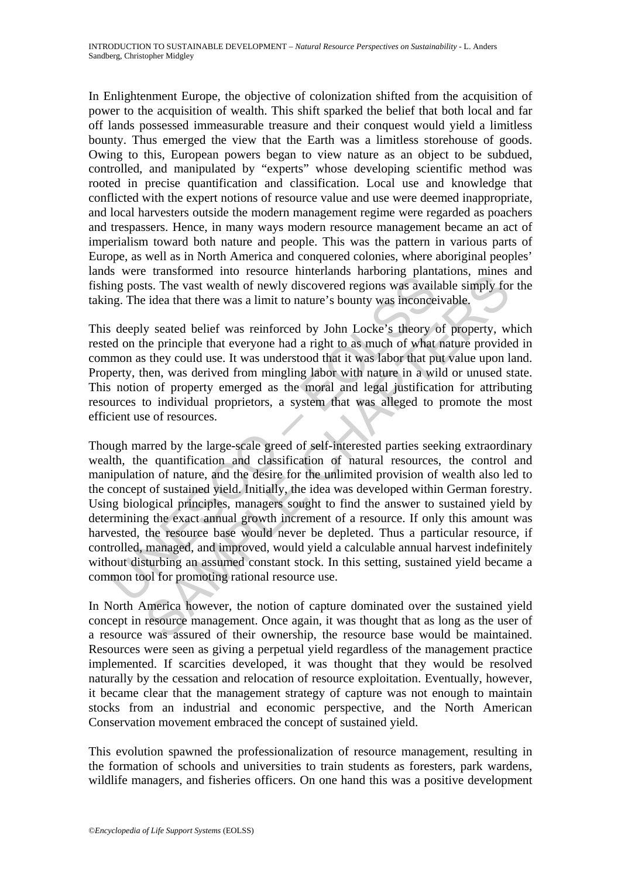In Enlightenment Europe, the objective of colonization shifted from the acquisition of power to the acquisition of wealth. This shift sparked the belief that both local and far off lands possessed immeasurable treasure and their conquest would yield a limitless bounty. Thus emerged the view that the Earth was a limitless storehouse of goods. Owing to this, European powers began to view nature as an object to be subdued, controlled, and manipulated by "experts" whose developing scientific method was rooted in precise quantification and classification. Local use and knowledge that conflicted with the expert notions of resource value and use were deemed inappropriate, and local harvesters outside the modern management regime were regarded as poachers and trespassers. Hence, in many ways modern resource management became an act of imperialism toward both nature and people. This was the pattern in various parts of Europe, as well as in North America and conquered colonies, where aboriginal peoples' lands were transformed into resource hinterlands harboring plantations, mines and fishing posts. The vast wealth of newly discovered regions was available simply for the taking. The idea that there was a limit to nature's bounty was inconceivable.

This deeply seated belief was reinforced by John Locke's theory of property, which rested on the principle that everyone had a right to as much of what nature provided in common as they could use. It was understood that it was labor that put value upon land. Property, then, was derived from mingling labor with nature in a wild or unused state. This notion of property emerged as the moral and legal justification for attributing resources to individual proprietors, a system that was alleged to promote the most efficient use of resources.

So we diamond met closure innevalate incoming particularly in posts. The vast wealth of newly discovered regions was availing. The idea that there was a limit to nature's bounty was inconces deeply seated belief was reinfo and the waster and tessource intertained state and the measurements and the sast. The vast wealth of newly discovered regions was available simply for idea that there was a limit to nature's bounty was inconceivable.<br>
y se Though marred by the large-scale greed of self-interested parties seeking extraordinary wealth, the quantification and classification of natural resources, the control and manipulation of nature, and the desire for the unlimited provision of wealth also led to the concept of sustained yield. Initially, the idea was developed within German forestry. Using biological principles, managers sought to find the answer to sustained yield by determining the exact annual growth increment of a resource. If only this amount was harvested, the resource base would never be depleted. Thus a particular resource, if controlled, managed, and improved, would yield a calculable annual harvest indefinitely without disturbing an assumed constant stock. In this setting, sustained yield became a common tool for promoting rational resource use.

In North America however, the notion of capture dominated over the sustained yield concept in resource management. Once again, it was thought that as long as the user of a resource was assured of their ownership, the resource base would be maintained. Resources were seen as giving a perpetual yield regardless of the management practice implemented. If scarcities developed, it was thought that they would be resolved naturally by the cessation and relocation of resource exploitation. Eventually, however, it became clear that the management strategy of capture was not enough to maintain stocks from an industrial and economic perspective, and the North American Conservation movement embraced the concept of sustained yield.

This evolution spawned the professionalization of resource management, resulting in the formation of schools and universities to train students as foresters, park wardens, wildlife managers, and fisheries officers. On one hand this was a positive development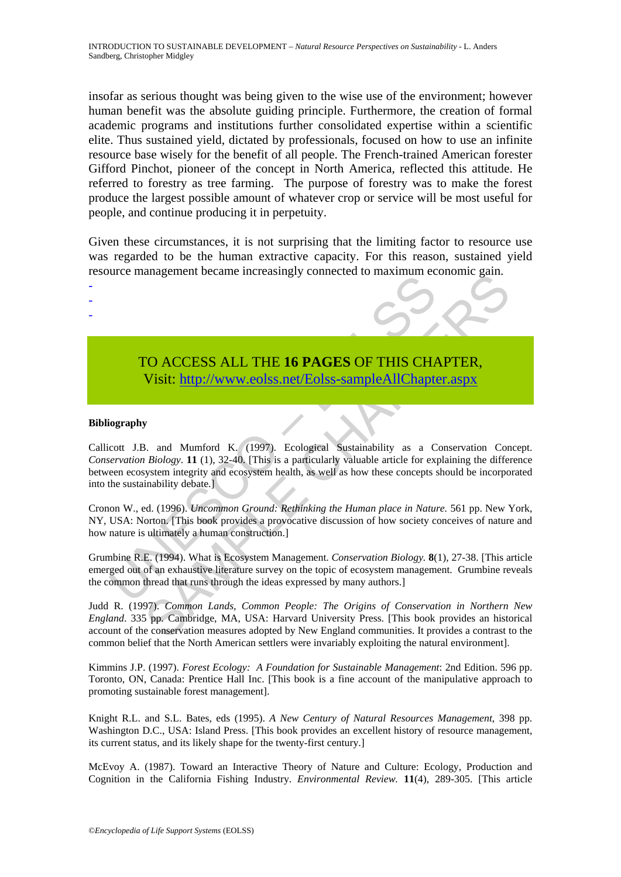insofar as serious thought was being given to the wise use of the environment; however human benefit was the absolute guiding principle. Furthermore, the creation of formal academic programs and institutions further consolidated expertise within a scientific elite. Thus sustained yield, dictated by professionals, focused on how to use an infinite resource base wisely for the benefit of all people. The French-trained American forester Gifford Pinchot, pioneer of the concept in North America, reflected this attitude. He referred to forestry as tree farming. The purpose of forestry was to make the forest produce the largest possible amount of whatever crop or service will be most useful for people, and continue producing it in perpetuity.

Given these circumstances, it is not surprising that the limiting factor to resource use was regarded to be the human extractive capacity. For this reason, sustained yield resource management became increasingly connected to maximum economic gain.

> TO ACCESS ALL THE **16 PAGES** OF THIS CHAPTER, Visit: http://www.eolss.net/Eolss-sampleAllChapter.aspx

#### **Bibliography**

- - -

TO ACCESS ALL THE 16 PAGES OF THIS CHA Visit: http://www.eolss.net/Eolss-sampleAllChapte<br>
visit: http://www.eolss.net/Eolss-sampleAllChapte<br>
iography<br>
cott J.B. and Mumford K. (1997). Ecological Sustainability as a C<br> *ser* THE SERVICE IN DETAILS CH[APT](https://www.eolss.net/ebooklib/sc_cart.aspx?File=E1-45-04-02)ER,<br>
SAMPLE CHAPTER,<br>
SAMPLE CHAPTER, Visit: http://www.colss.net/Eolss-sampleAllChapter.aspx<br>
SAMPLER,<br>
SAMPLE CHAPTER,<br>
SAMPLE CHAPTER,<br>
SAMPLE CHAPTER,<br>
SAMPLE CHAPTER,<br>
SAMPLE CHAPTER,<br>
SAMP Callicott J.B. and Mumford K. (1997). Ecological Sustainability as a Conservation Concept. *Conservation Biology*. **11** (1), 32-40. [This is a particularly valuable article for explaining the difference between ecosystem integrity and ecosystem health, as well as how these concepts should be incorporated into the sustainability debate.]

Cronon W., ed. (1996). *Uncommon Ground: Rethinking the Human place in Nature.* 561 pp. New York, NY, USA: Norton. [This book provides a provocative discussion of how society conceives of nature and how nature is ultimately a human construction.]

Grumbine R.E. (1994). What is Ecosystem Management. *Conservation Biology.* **8**(1), 27-38. [This article emerged out of an exhaustive literature survey on the topic of ecosystem management. Grumbine reveals the common thread that runs through the ideas expressed by many authors.]

Judd R. (1997). *Common Lands, Common People: The Origins of Conservation in Northern New England*. 335 pp. Cambridge, MA, USA: Harvard University Press. [This book provides an historical account of the conservation measures adopted by New England communities. It provides a contrast to the common belief that the North American settlers were invariably exploiting the natural environment].

Kimmins J.P. (1997). *Forest Ecology: A Foundation for Sustainable Management*: 2nd Edition. 596 pp. Toronto, ON, Canada: Prentice Hall Inc. [This book is a fine account of the manipulative approach to promoting sustainable forest management].

Knight R.L. and S.L. Bates, eds (1995). *A New Century of Natural Resources Management*, 398 pp. Washington D.C., USA: Island Press. [This book provides an excellent history of resource management, its current status, and its likely shape for the twenty-first century.]

McEvoy A. (1987). Toward an Interactive Theory of Nature and Culture: Ecology, Production and Cognition in the California Fishing Industry. *Environmental Review.* **11**(4), 289-305. [This article